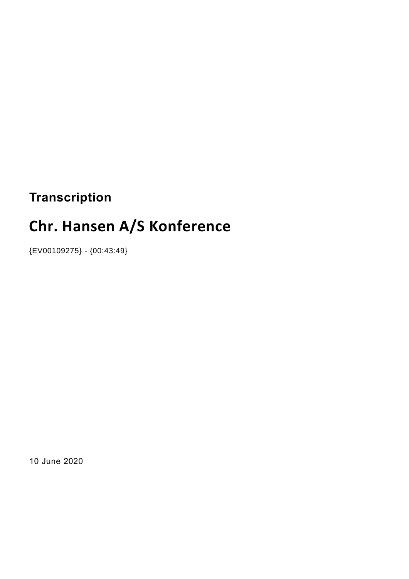# **Transcription**

# **Chr. Hansen A/S Konference**

{EV00109275} - {00:43:49}

10 June 2020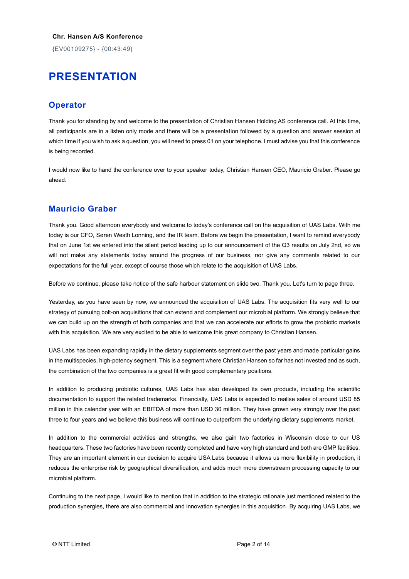{EV00109275} - {00:43:49}

# **PRESENTATION**

## **Operator**

Thank you for standing by and welcome to the presentation of Christian Hansen Holding AS conference call. At this time, all participants are in a listen only mode and there will be a presentation followed by a question and answer session at which time if you wish to ask a question, you will need to press 01 on your telephone. I must advise you that this conference is being recorded.

I would now like to hand the conference over to your speaker today, Christian Hansen CEO, Mauricio Graber. Please go ahead.

### **Mauricio Graber**

Thank you. Good afternoon everybody and welcome to today's conference call on the acquisition of UAS Labs. With me today is our CFO, Søren Westh Lonning, and the IR team. Before we begin the presentation, I want to remind everybody that on June 1st we entered into the silent period leading up to our announcement of the Q3 results on July 2nd, so we will not make any statements today around the progress of our business, nor give any comments related to our expectations for the full year, except of course those which relate to the acquisition of UAS Labs.

Before we continue, please take notice of the safe harbour statement on slide two. Thank you. Let's turn to page three.

Yesterday, as you have seen by now, we announced the acquisition of UAS Labs. The acquisition fits very well to our strategy of pursuing bolt-on acquisitions that can extend and complement our microbial platform. We strongly believe that we can build up on the strength of both companies and that we can accelerate our efforts to grow the probiotic markets with this acquisition. We are very excited to be able to welcome this great company to Christian Hansen.

UAS Labs has been expanding rapidly in the dietary supplements segment over the past years and made particular gains in the multispecies, high-potency segment. This is a segment where Christian Hansen so far has not invested and as such, the combination of the two companies is a great fit with good complementary positions.

In addition to producing probiotic cultures, UAS Labs has also developed its own products, including the scientific documentation to support the related trademarks. Financially, UAS Labs is expected to realise sales of around USD 85 million in this calendar year with an EBITDA of more than USD 30 million. They have grown very strongly over the past three to four years and we believe this business will continue to outperform the underlying dietary supplements market.

In addition to the commercial activities and strengths, we also gain two factories in Wisconsin close to our US headquarters. These two factories have been recently completed and have very high standard and both are GMP facilities. They are an important element in our decision to acquire USA Labs because it allows us more flexibility in production, it reduces the enterprise risk by geographical diversification, and adds much more downstream processing capacity to our microbial platform.

Continuing to the next page, I would like to mention that in addition to the strategic rationale just mentioned related to the production synergies, there are also commercial and innovation synergies in this acquisition. By acquiring UAS Labs, we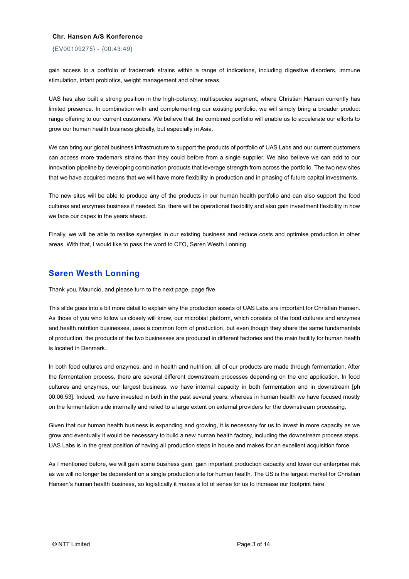#### {EV00109275} - {00:43:49}

gain access to a portfolio of trademark strains within a range of indications, including digestive disorders, immune stimulation, infant probiotics, weight management and other areas.

UAS has also built a strong position in the high-potency, multispecies segment, where Christian Hansen currently has limited presence. In combination with and complementing our existing portfolio, we will simply bring a broader product range offering to our current customers. We believe that the combined portfolio will enable us to accelerate our efforts to grow our human health business globally, but especially in Asia.

We can bring our global business infrastructure to support the products of portfolio of UAS Labs and our current customers can access more trademark strains than they could before from a single supplier. We also believe we can add to our innovation pipeline by developing combination products that leverage strength from across the portfolio. The two new sites that we have acquired means that we will have more flexibility in production and in phasing of future capital investments.

The new sites will be able to produce any of the products in our human health portfolio and can also support the food cultures and enzymes business if needed. So, there will be operational flexibility and also gain investment flexibility in how we face our capex in the years ahead.

Finally, we will be able to realise synergies in our existing business and reduce costs and optimise production in other areas. With that, I would like to pass the word to CFO, Søren Westh Lonning.

## **Søren Westh Lonning**

Thank you, Mauricio, and please turn to the next page, page five.

This slide goes into a bit more detail to explain why the production assets of UAS Labs are important for Christian Hansen. As those of you who follow us closely will know, our microbial platform, which consists of the food cultures and enzymes and health nutrition businesses, uses a common form of production, but even though they share the same fundamentals of production, the products of the two businesses are produced in different factories and the main facility for human health is located in Denmark.

In both food cultures and enzymes, and in health and nutrition, all of our products are made through fermentation. After the fermentation process, there are several different downstream processes depending on the end application. In food cultures and enzymes, our largest business, we have internal capacity in both fermentation and in downstream [ph 00:06:53]. Indeed, we have invested in both in the past several years, whereas in human health we have focused mostly on the fermentation side internally and relied to a large extent on external providers for the downstream processing.

Given that our human health business is expanding and growing, it is necessary for us to invest in more capacity as we grow and eventually it would be necessary to build a new human health factory, including the downstream process steps. UAS Labs is in the great position of having all production steps in house and makes for an excellent acquisition force.

As I mentioned before, we will gain some business gain, gain important production capacity and lower our enterprise risk as we will no longer be dependent on a single production site for human health. The US is the largest market for Christian Hansen's human health business, so logistically it makes a lot of sense for us to increase our footprint here.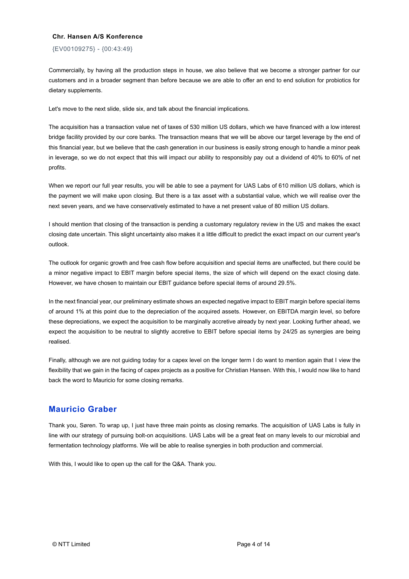#### {EV00109275} - {00:43:49}

Commercially, by having all the production steps in house, we also believe that we become a stronger partner for our customers and in a broader segment than before because we are able to offer an end to end solution for probiotics for dietary supplements.

Let's move to the next slide, slide six, and talk about the financial implications.

The acquisition has a transaction value net of taxes of 530 million US dollars, which we have financed with a low interest bridge facility provided by our core banks. The transaction means that we will be above our target leverage by the end of this financial year, but we believe that the cash generation in our business is easily strong enough to handle a minor peak in leverage, so we do not expect that this will impact our ability to responsibly pay out a dividend of 40% to 60% of net profits.

When we report our full year results, you will be able to see a payment for UAS Labs of 610 million US dollars, which is the payment we will make upon closing. But there is a tax asset with a substantial value, which we will realise over the next seven years, and we have conservatively estimated to have a net present value of 80 million US dollars.

I should mention that closing of the transaction is pending a customary regulatory review in the US and makes the exact closing date uncertain. This slight uncertainty also makes it a little difficult to predict the exact impact on our current year's outlook.

The outlook for organic growth and free cash flow before acquisition and special items are unaffected, but there could be a minor negative impact to EBIT margin before special items, the size of which will depend on the exact closing date. However, we have chosen to maintain our EBIT guidance before special items of around 29.5%.

In the next financial year, our preliminary estimate shows an expected negative impact to EBIT margin before special items of around 1% at this point due to the depreciation of the acquired assets. However, on EBITDA margin level, so before these depreciations, we expect the acquisition to be marginally accretive already by next year. Looking further ahead, we expect the acquisition to be neutral to slightly accretive to EBIT before special items by 24/25 as synergies are being realised.

Finally, although we are not guiding today for a capex level on the longer term I do want to mention again that I view the flexibility that we gain in the facing of capex projects as a positive for Christian Hansen. With this, I would now like to hand back the word to Mauricio for some closing remarks.

# **Mauricio Graber**

Thank you, Søren. To wrap up, I just have three main points as closing remarks. The acquisition of UAS Labs is fully in line with our strategy of pursuing bolt-on acquisitions. UAS Labs will be a great feat on many levels to our microbial and fermentation technology platforms. We will be able to realise synergies in both production and commercial.

With this, I would like to open up the call for the Q&A. Thank you.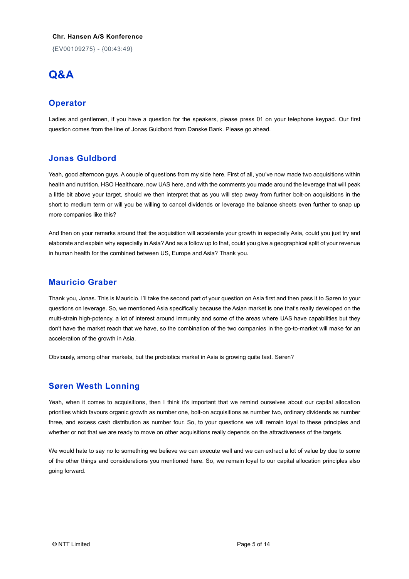{EV00109275} - {00:43:49}

# **Q&A**

# **Operator**

Ladies and gentlemen, if you have a question for the speakers, please press 01 on your telephone keypad. Our first question comes from the line of Jonas Guldbord from Danske Bank. Please go ahead.

# **Jonas Guldbord**

Yeah, good afternoon guys. A couple of questions from my side here. First of all, you've now made two acquisitions within health and nutrition, HSO Healthcare, now UAS here, and with the comments you made around the leverage that will peak a little bit above your target, should we then interpret that as you will step away from further bolt-on acquisitions in the short to medium term or will you be willing to cancel dividends or leverage the balance sheets even further to snap up more companies like this?

And then on your remarks around that the acquisition will accelerate your growth in especially Asia, could you just try and elaborate and explain why especially in Asia? And as a follow up to that, could you give a geographical split of your revenue in human health for the combined between US, Europe and Asia? Thank you.

## **Mauricio Graber**

Thank you, Jonas. This is Mauricio. I'll take the second part of your question on Asia first and then pass it to Søren to your questions on leverage. So, we mentioned Asia specifically because the Asian market is one that's really developed on the multi-strain high-potency, a lot of interest around immunity and some of the areas where UAS have capabilities but they don't have the market reach that we have, so the combination of the two companies in the go-to-market will make for an acceleration of the growth in Asia.

Obviously, among other markets, but the probiotics market in Asia is growing quite fast. Søren?

# **Søren Westh Lonning**

Yeah, when it comes to acquisitions, then I think it's important that we remind ourselves about our capital allocation priorities which favours organic growth as number one, bolt-on acquisitions as number two, ordinary dividends as number three, and excess cash distribution as number four. So, to your questions we will remain loyal to these principles and whether or not that we are ready to move on other acquisitions really depends on the attractiveness of the targets.

We would hate to say no to something we believe we can execute well and we can extract a lot of value by due to some of the other things and considerations you mentioned here. So, we remain loyal to our capital allocation principles also going forward.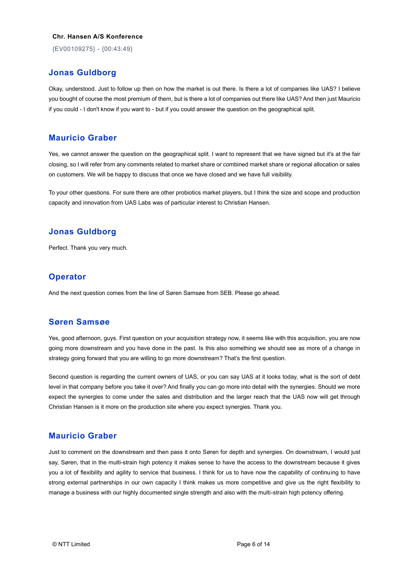{EV00109275} - {00:43:49}

## **Jonas Guldborg**

Okay, understood. Just to follow up then on how the market is out there. Is there a lot of companies like UAS? I believe you bought of course the most premium of them, but is there a lot of companies out there like UAS? And then just Mauricio if you could - I don't know if you want to - but if you could answer the question on the geographical split.

#### **Mauricio Graber**

Yes, we cannot answer the question on the geographical split. I want to represent that we have signed but it's at the fair closing, so I will refer from any comments related to market share or combined market share or regional allocation or sales on customers. We will be happy to discuss that once we have closed and we have full visibility.

To your other questions. For sure there are other probiotics market players, but I think the size and scope and production capacity and innovation from UAS Labs was of particular interest to Christian Hansen.

### **Jonas Guldborg**

Perfect. Thank you very much.

#### **Operator**

And the next question comes from the line of Søren Samsøe from SEB. Please go ahead.

#### **Søren Samsøe**

Yes, good afternoon, guys. First question on your acquisition strategy now, it seems like with this acquisition, you are now going more downstream and you have done in the past. Is this also something we should see as more of a change in strategy going forward that you are willing to go more downstream? That's the first question.

Second question is regarding the current owners of UAS, or you can say UAS at it looks today, what is the sort of debt level in that company before you take it over? And finally you can go more into detail with the synergies. Should we more expect the synergies to come under the sales and distribution and the larger reach that the UAS now will get through Christian Hansen is it more on the production site where you expect synergies. Thank you.

#### **Mauricio Graber**

Just to comment on the downstream and then pass it onto Søren for depth and synergies. On downstream, I would just say, Søren, that in the multi-strain high potency it makes sense to have the access to the downstream because it gives you a lot of flexibility and agility to service that business. I think for us to have now the capability of continuing to have strong external partnerships in our own capacity I think makes us more competitive and give us the right flexibility to manage a business with our highly documented single strength and also with the multi-strain high potency offering.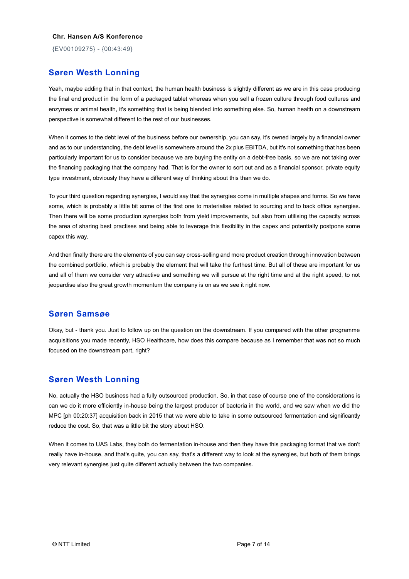{EV00109275} - {00:43:49}

## **Søren Westh Lonning**

Yeah, maybe adding that in that context, the human health business is slightly different as we are in this case producing the final end product in the form of a packaged tablet whereas when you sell a frozen culture through food cultures and enzymes or animal health, it's something that is being blended into something else. So, human health on a downstream perspective is somewhat different to the rest of our businesses.

When it comes to the debt level of the business before our ownership, you can say, it's owned largely by a financial owner and as to our understanding, the debt level is somewhere around the 2x plus EBITDA, but it's not something that has been particularly important for us to consider because we are buying the entity on a debt-free basis, so we are not taking over the financing packaging that the company had. That is for the owner to sort out and as a financial sponsor, private equity type investment, obviously they have a different way of thinking about this than we do.

To your third question regarding synergies, I would say that the synergies come in multiple shapes and forms. So we have some, which is probably a little bit some of the first one to materialise related to sourcing and to back office synergies. Then there will be some production synergies both from yield improvements, but also from utilising the capacity across the area of sharing best practises and being able to leverage this flexibility in the capex and potentially postpone some capex this way.

And then finally there are the elements of you can say cross-selling and more product creation through innovation between the combined portfolio, which is probably the element that will take the furthest time. But all of these are important for us and all of them we consider very attractive and something we will pursue at the right time and at the right speed, to not jeopardise also the great growth momentum the company is on as we see it right now.

### **Søren Samsøe**

Okay, but - thank you. Just to follow up on the question on the downstream. If you compared with the other programme acquisitions you made recently, HSO Healthcare, how does this compare because as I remember that was not so much focused on the downstream part, right?

# **Søren Westh Lonning**

No, actually the HSO business had a fully outsourced production. So, in that case of course one of the considerations is can we do it more efficiently in-house being the largest producer of bacteria in the world, and we saw when we did the MPC [ph 00:20:37] acquisition back in 2015 that we were able to take in some outsourced fermentation and significantly reduce the cost. So, that was a little bit the story about HSO.

When it comes to UAS Labs, they both do fermentation in-house and then they have this packaging format that we don't really have in-house, and that's quite, you can say, that's a different way to look at the synergies, but both of them brings very relevant synergies just quite different actually between the two companies.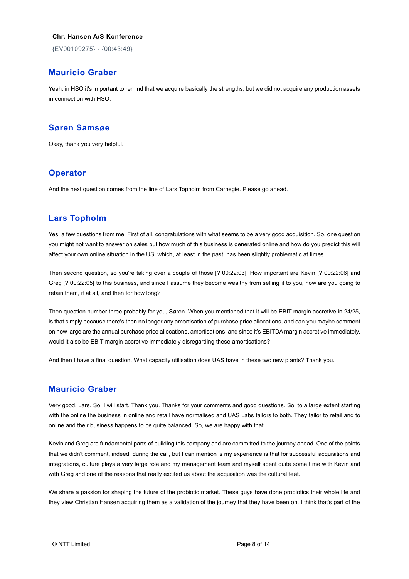{EV00109275} - {00:43:49}

# **Mauricio Graber**

Yeah, in HSO it's important to remind that we acquire basically the strengths, but we did not acquire any production assets in connection with HSO.

## **Søren Samsøe**

Okay, thank you very helpful.

## **Operator**

And the next question comes from the line of Lars Topholm from Carnegie. Please go ahead.

# **Lars Topholm**

Yes, a few questions from me. First of all, congratulations with what seems to be a very good acquisition. So, one question you might not want to answer on sales but how much of this business is generated online and how do you predict this will affect your own online situation in the US, which, at least in the past, has been slightly problematic at times.

Then second question, so you're taking over a couple of those [? 00:22:03]. How important are Kevin [? 00:22:06] and Greg [? 00:22:05] to this business, and since I assume they become wealthy from selling it to you, how are you going to retain them, if at all, and then for how long?

Then question number three probably for you, Søren. When you mentioned that it will be EBIT margin accretive in 24/25, is that simply because there's then no longer any amortisation of purchase price allocations, and can you maybe comment on how large are the annual purchase price allocations, amortisations, and since it's EBITDA margin accretive immediately, would it also be EBIT margin accretive immediately disregarding these amortisations?

And then I have a final question. What capacity utilisation does UAS have in these two new plants? Thank you.

# **Mauricio Graber**

Very good, Lars. So, I will start. Thank you. Thanks for your comments and good questions. So, to a large extent starting with the online the business in online and retail have normalised and UAS Labs tailors to both. They tailor to retail and to online and their business happens to be quite balanced. So, we are happy with that.

Kevin and Greg are fundamental parts of building this company and are committed to the journey ahead. One of the points that we didn't comment, indeed, during the call, but I can mention is my experience is that for successful acquisitions and integrations, culture plays a very large role and my management team and myself spent quite some time with Kevin and with Greg and one of the reasons that really excited us about the acquisition was the cultural feat.

We share a passion for shaping the future of the probiotic market. These guys have done probiotics their whole life and they view Christian Hansen acquiring them as a validation of the journey that they have been on. I think that's part of the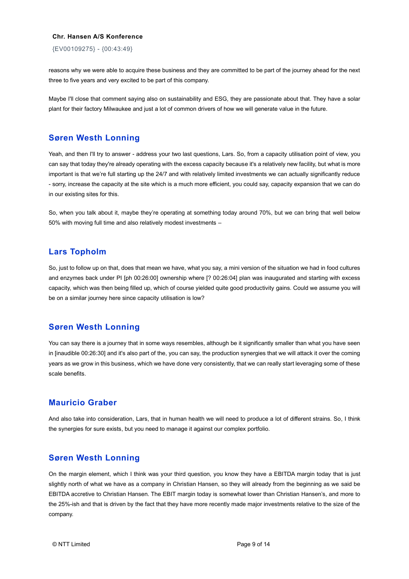{EV00109275} - {00:43:49}

reasons why we were able to acquire these business and they are committed to be part of the journey ahead for the next three to five years and very excited to be part of this company.

Maybe I'll close that comment saying also on sustainability and ESG, they are passionate about that. They have a solar plant for their factory Milwaukee and just a lot of common drivers of how we will generate value in the future.

#### **Søren Westh Lonning**

Yeah, and then I'll try to answer - address your two last questions, Lars. So, from a capacity utilisation point of view, you can say that today they're already operating with the excess capacity because it's a relatively new facility, but what is more important is that we're full starting up the 24/7 and with relatively limited investments we can actually significantly reduce - sorry, increase the capacity at the site which is a much more efficient, you could say, capacity expansion that we can do in our existing sites for this.

So, when you talk about it, maybe they're operating at something today around 70%, but we can bring that well below 50% with moving full time and also relatively modest investments –

#### **Lars Topholm**

So, just to follow up on that, does that mean we have, what you say, a mini version of the situation we had in food cultures and enzymes back under PI [ph 00:26:00] ownership where [? 00:26:04] plan was inaugurated and starting with excess capacity, which was then being filled up, which of course yielded quite good productivity gains. Could we assume you will be on a similar journey here since capacity utilisation is low?

#### **Søren Westh Lonning**

You can say there is a journey that in some ways resembles, although be it significantly smaller than what you have seen in [inaudible 00:26:30] and it's also part of the, you can say, the production synergies that we will attack it over the coming years as we grow in this business, which we have done very consistently, that we can really start leveraging some of these scale benefits.

## **Mauricio Graber**

And also take into consideration, Lars, that in human health we will need to produce a lot of different strains. So, I think the synergies for sure exists, but you need to manage it against our complex portfolio.

#### **Søren Westh Lonning**

On the margin element, which I think was your third question, you know they have a EBITDA margin today that is just slightly north of what we have as a company in Christian Hansen, so they will already from the beginning as we said be EBITDA accretive to Christian Hansen. The EBIT margin today is somewhat lower than Christian Hansen's, and more to the 25%-ish and that is driven by the fact that they have more recently made major investments relative to the size of the company.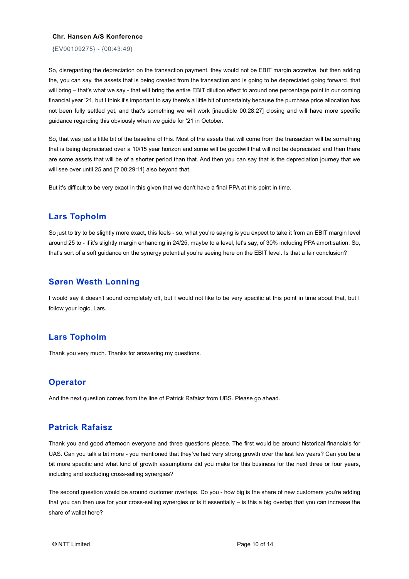{EV00109275} - {00:43:49}

So, disregarding the depreciation on the transaction payment, they would not be EBIT margin accretive, but then adding the, you can say, the assets that is being created from the transaction and is going to be depreciated going forward, that will bring – that's what we say - that will bring the entire EBIT dilution effect to around one percentage point in our coming financial year '21, but I think it's important to say there's a little bit of uncertainty because the purchase price allocation has not been fully settled yet, and that's something we will work [inaudible 00:28:27] closing and will have more specific guidance regarding this obviously when we guide for '21 in October.

So, that was just a little bit of the baseline of this. Most of the assets that will come from the transaction will be something that is being depreciated over a 10/15 year horizon and some will be goodwill that will not be depreciated and then there are some assets that will be of a shorter period than that. And then you can say that is the depreciation journey that we will see over until 25 and [? 00:29:11] also beyond that.

But it's difficult to be very exact in this given that we don't have a final PPA at this point in time.

#### **Lars Topholm**

So just to try to be slightly more exact, this feels - so, what you're saying is you expect to take it from an EBIT margin level around 25 to - if it's slightly margin enhancing in 24/25, maybe to a level, let's say, of 30% including PPA amortisation. So, that's sort of a soft guidance on the synergy potential you're seeing here on the EBIT level. Is that a fair conclusion?

## **Søren Westh Lonning**

I would say it doesn't sound completely off, but I would not like to be very specific at this point in time about that, but I follow your logic, Lars.

### **Lars Topholm**

Thank you very much. Thanks for answering my questions.

### **Operator**

And the next question comes from the line of Patrick Rafaisz from UBS. Please go ahead.

## **Patrick Rafaisz**

Thank you and good afternoon everyone and three questions please. The first would be around historical financials for UAS. Can you talk a bit more - you mentioned that they've had very strong growth over the last few years? Can you be a bit more specific and what kind of growth assumptions did you make for this business for the next three or four years, including and excluding cross-selling synergies?

The second question would be around customer overlaps. Do you - how big is the share of new customers you're adding that you can then use for your cross-selling synergies or is it essentially – is this a big overlap that you can increase the share of wallet here?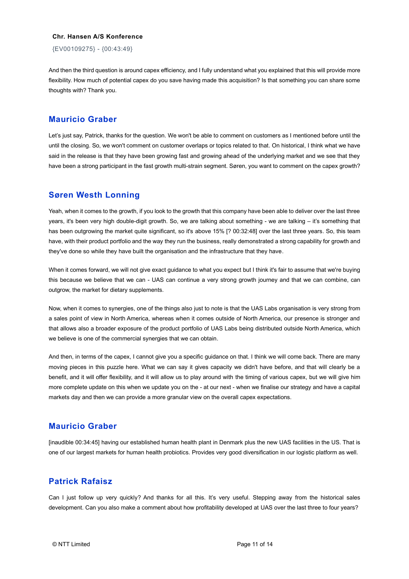{EV00109275} - {00:43:49}

And then the third question is around capex efficiency, and I fully understand what you explained that this will provide more flexibility. How much of potential capex do you save having made this acquisition? Is that something you can share some thoughts with? Thank you.

#### **Mauricio Graber**

Let's just say, Patrick, thanks for the question. We won't be able to comment on customers as I mentioned before until the until the closing. So, we won't comment on customer overlaps or topics related to that. On historical, I think what we have said in the release is that they have been growing fast and growing ahead of the underlying market and we see that they have been a strong participant in the fast growth multi-strain segment. Søren, you want to comment on the capex growth?

### **Søren Westh Lonning**

Yeah, when it comes to the growth, if you look to the growth that this company have been able to deliver over the last three years, it's been very high double-digit growth. So, we are talking about something - we are talking – it's something that has been outgrowing the market quite significant, so it's above 15% [? 00:32:48] over the last three years. So, this team have, with their product portfolio and the way they run the business, really demonstrated a strong capability for growth and they've done so while they have built the organisation and the infrastructure that they have.

When it comes forward, we will not give exact guidance to what you expect but I think it's fair to assume that we're buying this because we believe that we can - UAS can continue a very strong growth journey and that we can combine, can outgrow, the market for dietary supplements.

Now, when it comes to synergies, one of the things also just to note is that the UAS Labs organisation is very strong from a sales point of view in North America, whereas when it comes outside of North America, our presence is stronger and that allows also a broader exposure of the product portfolio of UAS Labs being distributed outside North America, which we believe is one of the commercial synergies that we can obtain.

And then, in terms of the capex, I cannot give you a specific guidance on that. I think we will come back. There are many moving pieces in this puzzle here. What we can say it gives capacity we didn't have before, and that will clearly be a benefit, and it will offer flexibility, and it will allow us to play around with the timing of various capex, but we will give him more complete update on this when we update you on the - at our next - when we finalise our strategy and have a capital markets day and then we can provide a more granular view on the overall capex expectations.

### **Mauricio Graber**

[inaudible 00:34:45] having our established human health plant in Denmark plus the new UAS facilities in the US. That is one of our largest markets for human health probiotics. Provides very good diversification in our logistic platform as well.

## **Patrick Rafaisz**

Can I just follow up very quickly? And thanks for all this. It's very useful. Stepping away from the historical sales development. Can you also make a comment about how profitability developed at UAS over the last three to four years?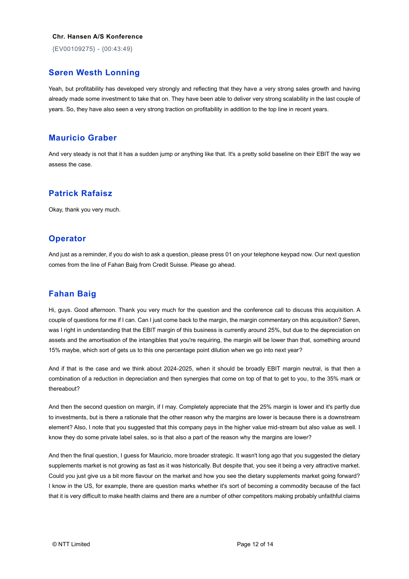{EV00109275} - {00:43:49}

## **Søren Westh Lonning**

Yeah, but profitability has developed very strongly and reflecting that they have a very strong sales growth and having already made some investment to take that on. They have been able to deliver very strong scalability in the last couple of years. So, they have also seen a very strong traction on profitability in addition to the top line in recent years.

### **Mauricio Graber**

And very steady is not that it has a sudden jump or anything like that. It's a pretty solid baseline on their EBIT the way we assess the case.

## **Patrick Rafaisz**

Okay, thank you very much.

#### **Operator**

And just as a reminder, if you do wish to ask a question, please press 01 on your telephone keypad now. Our next question comes from the line of Fahan Baig from Credit Suisse. Please go ahead.

# **Fahan Baig**

Hi, guys. Good afternoon. Thank you very much for the question and the conference call to discuss this acquisition. A couple of questions for me if I can. Can I just come back to the margin, the margin commentary on this acquisition? Søren, was I right in understanding that the EBIT margin of this business is currently around 25%, but due to the depreciation on assets and the amortisation of the intangibles that you're requiring, the margin will be lower than that, something around 15% maybe, which sort of gets us to this one percentage point dilution when we go into next year?

And if that is the case and we think about 2024-2025, when it should be broadly EBIT margin neutral, is that then a combination of a reduction in depreciation and then synergies that come on top of that to get to you, to the 35% mark or thereabout?

And then the second question on margin, if I may. Completely appreciate that the 25% margin is lower and it's partly due to investments, but is there a rationale that the other reason why the margins are lower is because there is a downstream element? Also, I note that you suggested that this company pays in the higher value mid-stream but also value as well. I know they do some private label sales, so is that also a part of the reason why the margins are lower?

And then the final question, I guess for Mauricio, more broader strategic. It wasn't long ago that you suggested the dietary supplements market is not growing as fast as it was historically. But despite that, you see it being a very attractive market. Could you just give us a bit more flavour on the market and how you see the dietary supplements market going forward? I know in the US, for example, there are question marks whether it's sort of becoming a commodity because of the fact that it is very difficult to make health claims and there are a number of other competitors making probably unfaithful claims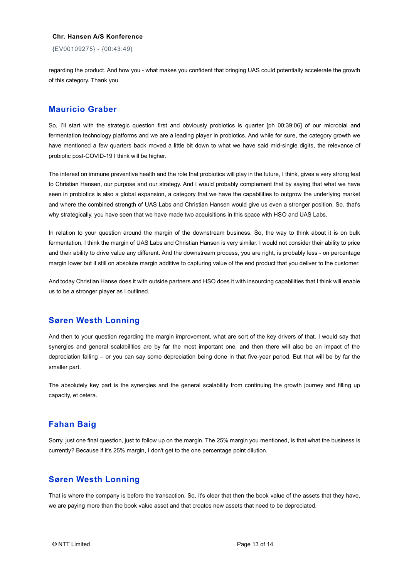{EV00109275} - {00:43:49}

regarding the product. And how you - what makes you confident that bringing UAS could potentially accelerate the growth of this category. Thank you.

#### **Mauricio Graber**

So, I'll start with the strategic question first and obviously probiotics is quarter [ph 00:39:06] of our microbial and fermentation technology platforms and we are a leading player in probiotics. And while for sure, the category growth we have mentioned a few quarters back moved a little bit down to what we have said mid-single digits, the relevance of probiotic post-COVID-19 I think will be higher.

The interest on immune preventive health and the role that probiotics will play in the future, I think, gives a very strong feat to Christian Hansen, our purpose and our strategy. And I would probably complement that by saying that what we have seen in probiotics is also a global expansion, a category that we have the capabilities to outgrow the underlying market and where the combined strength of UAS Labs and Christian Hansen would give us even a stronger position. So, that's why strategically, you have seen that we have made two acquisitions in this space with HSO and UAS Labs.

In relation to your question around the margin of the downstream business. So, the way to think about it is on bulk fermentation, I think the margin of UAS Labs and Christian Hansen is very similar. I would not consider their ability to price and their ability to drive value any different. And the downstream process, you are right, is probably less - on percentage margin lower but it still on absolute margin additive to capturing value of the end product that you deliver to the customer.

And today Christian Hanse does it with outside partners and HSO does it with insourcing capabilities that I think will enable us to be a stronger player as I outlined.

# **Søren Westh Lonning**

And then to your question regarding the margin improvement, what are sort of the key drivers of that. I would say that synergies and general scalabilities are by far the most important one, and then there will also be an impact of the depreciation falling – or you can say some depreciation being done in that five-year period. But that will be by far the smaller part.

The absolutely key part is the synergies and the general scalability from continuing the growth journey and filling up capacity, et cetera.

# **Fahan Baig**

Sorry, just one final question, just to follow up on the margin. The 25% margin you mentioned, is that what the business is currently? Because if it's 25% margin, I don't get to the one percentage point dilution.

### **Søren Westh Lonning**

That is where the company is before the transaction. So, it's clear that then the book value of the assets that they have, we are paying more than the book value asset and that creates new assets that need to be depreciated.